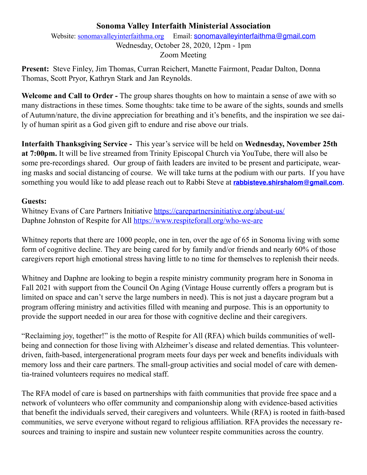### **Sonoma Valley Interfaith Ministerial Association**

Website: [sonomavalleyinterfaithma.org](http://sonomavalleyinterfaithma.org) Email: [sonomavalleyinterfaithma@gmail.com](mailto:sonomavalleyinterfaithma@gmail.com) Wednesday, October 28, 2020, 12pm - 1pm Zoom Meeting

**Present:** Steve Finley, Jim Thomas, Curran Reichert, Manette Fairmont, Peadar Dalton, Donna Thomas, Scott Pryor, Kathryn Stark and Jan Reynolds.

**Welcome and Call to Order -** The group shares thoughts on how to maintain a sense of awe with so many distractions in these times. Some thoughts: take time to be aware of the sights, sounds and smells of Autumn/nature, the divine appreciation for breathing and it's benefits, and the inspiration we see daily of human spirit as a God given gift to endure and rise above our trials.

**Interfaith Thanksgiving Service -** This year's service will be held on **Wednesday, November 25th at 7:00pm.** It will be live streamed from Trinity Episcopal Church via YouTube, there will also be some pre-recordings shared. Our group of faith leaders are invited to be present and participate, wearing masks and social distancing of course. We will take turns at the podium with our parts. If you have something you would like to add please reach out to Rabbi Steve at **[rabbisteve.shirshalom@gmail.com](mailto:rabbisteve.shirshalom@gmail.com)**.

#### **Guests:**

Whitney Evans of Care Partners Initiative <https://carepartnersinitiative.org/about-us/> Daphne Johnston of Respite for All<https://www.respiteforall.org/who-we-are>

Whitney reports that there are 1000 people, one in ten, over the age of 65 in Sonoma living with some form of cognitive decline. They are being cared for by family and/or friends and nearly 60% of those caregivers report high emotional stress having little to no time for themselves to replenish their needs.

Whitney and Daphne are looking to begin a respite ministry community program here in Sonoma in Fall 2021 with support from the Council On Aging (Vintage House currently offers a program but is limited on space and can't serve the large numbers in need). This is not just a daycare program but a program offering ministry and activities filled with meaning and purpose. This is an opportunity to provide the support needed in our area for those with cognitive decline and their caregivers.

"Reclaiming joy, together!" is the motto of Respite for All (RFA) which builds communities of wellbeing and connection for those living with Alzheimer's disease and related dementias. This volunteerdriven, faith-based, intergenerational program meets four days per week and benefits individuals with memory loss and their care partners. The small-group activities and social model of care with dementia-trained volunteers requires no medical staff.

The RFA model of care is based on partnerships with faith communities that provide free space and a network of volunteers who offer community and companionship along with evidence-based activities that benefit the individuals served, their caregivers and volunteers. While (RFA) is rooted in faith-based communities, we serve everyone without regard to religious affiliation. RFA provides the necessary resources and training to inspire and sustain new volunteer respite communities across the country.